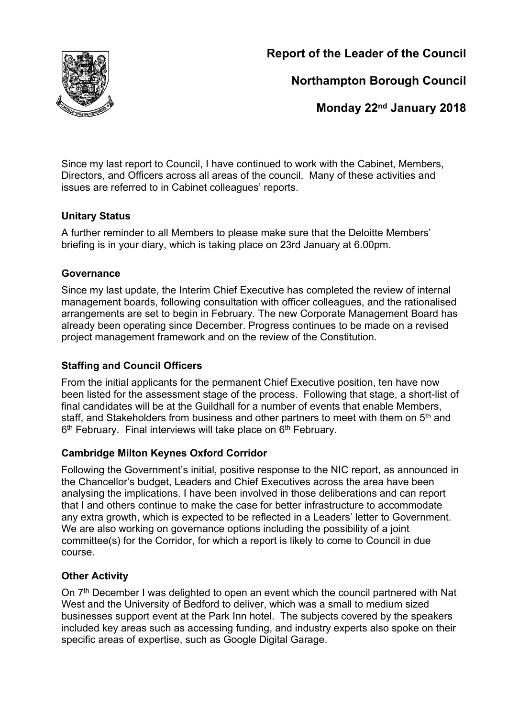

**Report of the Leader of the Council**

**Northampton Borough Council**

**Monday 22nd January 2018**

Since my last report to Council, I have continued to work with the Cabinet, Members, Directors, and Officers across all areas of the council. Many of these activities and issues are referred to in Cabinet colleagues' reports.

### **Unitary Status**

A further reminder to all Members to please make sure that the Deloitte Members' briefing is in your diary, which is taking place on 23rd January at 6.00pm.

### **Governance**

Since my last update, the Interim Chief Executive has completed the review of internal management boards, following consultation with officer colleagues, and the rationalised arrangements are set to begin in February. The new Corporate Management Board has already been operating since December. Progress continues to be made on a revised project management framework and on the review of the Constitution.

# **Staffing and Council Officers**

From the initial applicants for the permanent Chief Executive position, ten have now been listed for the assessment stage of the process. Following that stage, a short-list of final candidates will be at the Guildhall for a number of events that enable Members, staff, and Stakeholders from business and other partners to meet with them on 5<sup>th</sup> and 6<sup>th</sup> February. Final interviews will take place on 6<sup>th</sup> February.

# **Cambridge Milton Keynes Oxford Corridor**

Following the Government's initial, positive response to the NIC report, as announced in the Chancellor's budget, Leaders and Chief Executives across the area have been analysing the implications. I have been involved in those deliberations and can report that I and others continue to make the case for better infrastructure to accommodate any extra growth, which is expected to be reflected in a Leaders' letter to Government. We are also working on governance options including the possibility of a joint committee(s) for the Corridor, for which a report is likely to come to Council in due course.

# **Other Activity**

On 7<sup>th</sup> December I was delighted to open an event which the council partnered with Nat West and the University of Bedford to deliver, which was a small to medium sized businesses support event at the Park Inn hotel. The subjects covered by the speakers included key areas such as accessing funding, and industry experts also spoke on their specific areas of expertise, such as Google Digital Garage.